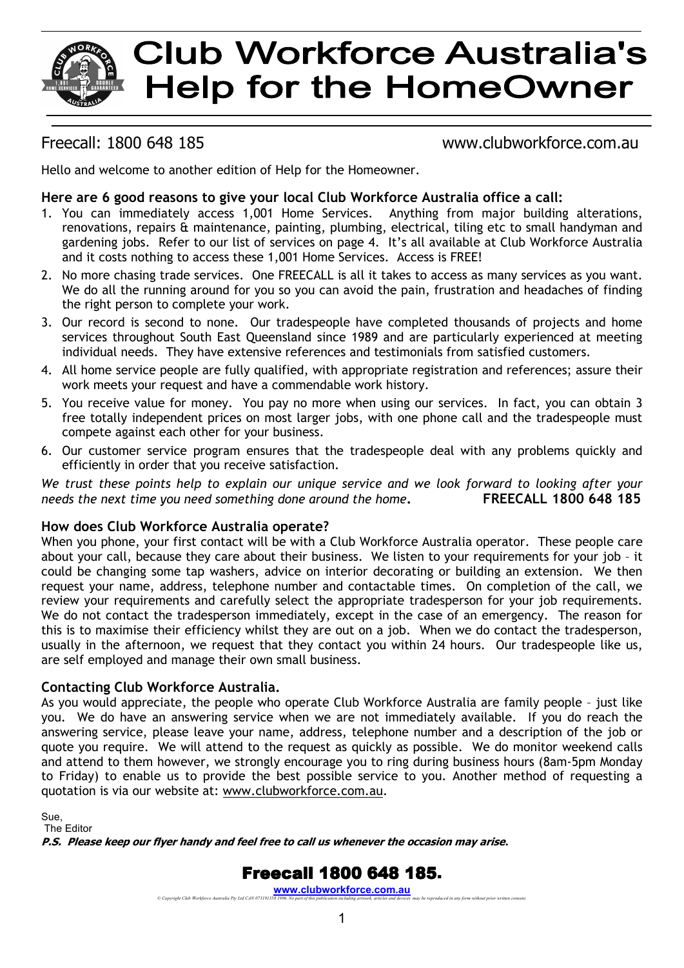# **Club Workforce Australia's Help for the HomeOwner**

### Freecall: 1800 648 185 www.clubworkforce.com.au

Hello and welcome to another edition of Help for the Homeowner.

#### **Here are 6 good reasons to give your local Club Workforce Australia office a call:**

- 1. You can immediately access 1,001 Home Services. Anything from major building alterations, renovations, repairs & maintenance, painting, plumbing, electrical, tiling etc to small handyman and gardening jobs. Refer to our list of services on page 4. It's all available at Club Workforce Australia and it costs nothing to access these 1,001 Home Services. Access is FREE!
- 2. No more chasing trade services. One FREECALL is all it takes to access as many services as you want. We do all the running around for you so you can avoid the pain, frustration and headaches of finding the right person to complete your work.
- 3. Our record is second to none. Our tradespeople have completed thousands of projects and home services throughout South East Queensland since 1989 and are particularly experienced at meeting individual needs. They have extensive references and testimonials from satisfied customers.
- 4. All home service people are fully qualified, with appropriate registration and references; assure their work meets your request and have a commendable work history.
- 5. You receive value for money. You pay no more when using our services. In fact, you can obtain 3 free totally independent prices on most larger jobs, with one phone call and the tradespeople must compete against each other for your business.
- 6. Our customer service program ensures that the tradespeople deal with any problems quickly and efficiently in order that you receive satisfaction.

*We trust these points help to explain our unique service and we look forward to looking after your needs the next time you need something done around the home***. FREECALL 1800 648 185**

#### **How does Club Workforce Australia operate?**

When you phone, your first contact will be with a Club Workforce Australia operator. These people care about your call, because they care about their business. We listen to your requirements for your job – it could be changing some tap washers, advice on interior decorating or building an extension. We then request your name, address, telephone number and contactable times. On completion of the call, we review your requirements and carefully select the appropriate tradesperson for your job requirements. We do not contact the tradesperson immediately, except in the case of an emergency. The reason for this is to maximise their efficiency whilst they are out on a job. When we do contact the tradesperson, usually in the afternoon, we request that they contact you within 24 hours*.* Our tradespeople like us, are self employed and manage their own small business.

#### **Contacting Club Workforce Australia.**

As you would appreciate, the people who operate Club Workforce Australia are family people – just like you. We do have an answering service when we are not immediately available. If you do reach the answering service, please leave your name, address, telephone number and a description of the job or quote you require. We will attend to the request as quickly as possible. We do monitor weekend calls and attend to them however, we strongly encourage you to ring during business hours (8am-5pm Monday to Friday) to enable us to provide the best possible service to you. Another method of requesting a quotation is via our website at: www.clubworkforce.com.au.

Sue, The Editor

**P.S. Please keep our flyer handy and feel free to call us whenever the occasion may arise***.* 

# **Freecall 1800 648 185.**

**WWW.CIUDWOTKfOTCE.COM.AU**<br>© Copyright Club Workforce Australia Pty Ltd CAN 073191358 1996. No part of this publication including artwork, articles and devices may be reproduced in any form without prior written consent.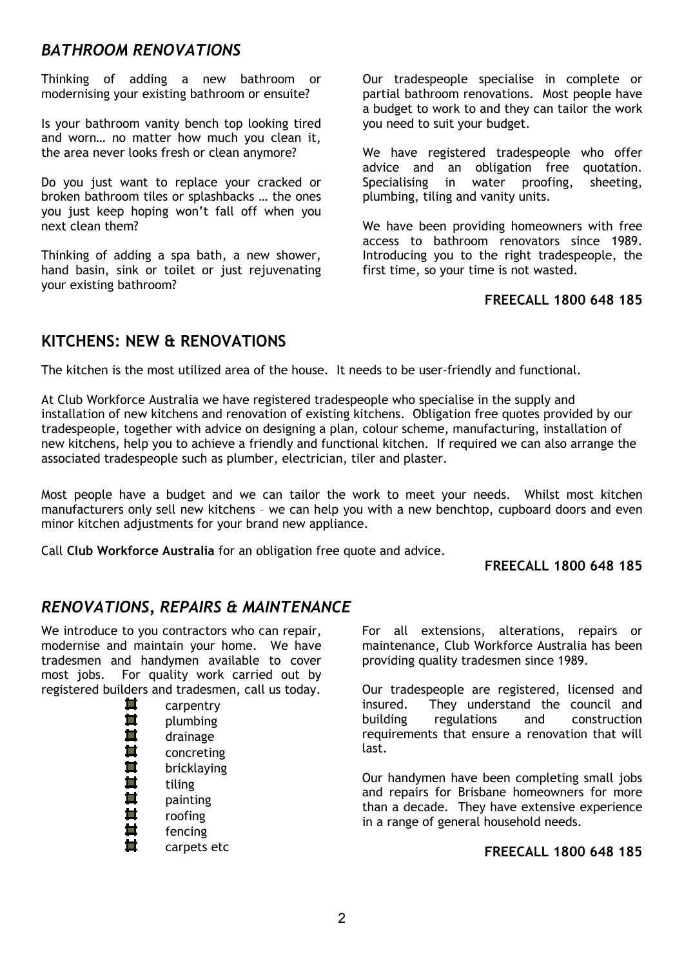# *BATHROOM RENOVATIONS*

Thinking of adding a new bathroom or modernising your existing bathroom or ensuite?

Is your bathroom vanity bench top looking tired and worn… no matter how much you clean it, the area never looks fresh or clean anymore?

Do you just want to replace your cracked or broken bathroom tiles or splashbacks … the ones you just keep hoping won't fall off when you next clean them?

Thinking of adding a spa bath, a new shower, hand basin, sink or toilet or just rejuvenating your existing bathroom?

Our tradespeople specialise in complete or partial bathroom renovations. Most people have a budget to work to and they can tailor the work you need to suit your budget.

We have registered tradespeople who offer advice and an obligation free quotation. Specialising in water proofing, sheeting, plumbing, tiling and vanity units.

We have been providing homeowners with free access to bathroom renovators since 1989. Introducing you to the right tradespeople, the first time, so your time is not wasted.

#### **FREECALL 1800 648 185**

# **KITCHENS: NEW & RENOVATIONS**

The kitchen is the most utilized area of the house. It needs to be user-friendly and functional.

At Club Workforce Australia we have registered tradespeople who specialise in the supply and installation of new kitchens and renovation of existing kitchens. Obligation free quotes provided by our tradespeople, together with advice on designing a plan, colour scheme, manufacturing, installation of new kitchens, help you to achieve a friendly and functional kitchen. If required we can also arrange the associated tradespeople such as plumber, electrician, tiler and plaster.

Most people have a budget and we can tailor the work to meet your needs. Whilst most kitchen manufacturers only sell new kitchens – we can help you with a new benchtop, cupboard doors and even minor kitchen adjustments for your brand new appliance.

Call **Club Workforce Australia** for an obligation free quote and advice.

#### **FREECALL 1800 648 185**

## *RENOVATIONS, REPAIRS & MAINTENANCE*

We introduce to you contractors who can repair, modernise and maintain your home. We have tradesmen and handymen available to cover most jobs. For quality work carried out by registered builders and tradesmen, call us today.

| carpentry   |
|-------------|
| plumbing    |
| drainage    |
| concreting  |
| bricklaying |
| tiling      |
| painting    |
| roofing     |
| fencing     |
| carpets etc |

For all extensions, alterations, repairs or maintenance, Club Workforce Australia has been providing quality tradesmen since 1989.

Our tradespeople are registered, licensed and insured. They understand the council and building regulations and construction requirements that ensure a renovation that will last.

Our handymen have been completing small jobs and repairs for Brisbane homeowners for more than a decade. They have extensive experience in a range of general household needs.

#### **FREECALL 1800 648 185**